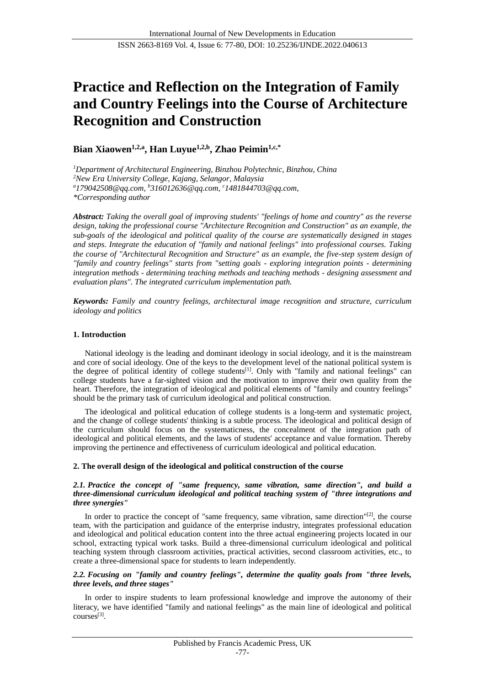# **Practice and Reflection on the Integration of Family and Country Feelings into the Course of Architecture Recognition and Construction**

**Bian Xiaowen1,2,a , Han Luyue1,2,b , Zhao Peimin1,c,\***

*<sup>1</sup>Department of Architectural Engineering, Binzhou Polytechnic, Binzhou, China <sup>2</sup>New Era University College, Kajang, Selangor, Malaysia <sup>a</sup>179042508@qq.com, <sup>b</sup>316012636@qq.com, <sup>c</sup>1481844703@qq.com, \*Corresponding author*

*Abstract: Taking the overall goal of improving students' "feelings of home and country" as the reverse design, taking the professional course "Architecture Recognition and Construction" as an example, the sub-goals of the ideological and political quality of the course are systematically designed in stages and steps. Integrate the education of "family and national feelings" into professional courses. Taking the course of "Architectural Recognition and Structure" as an example, the five-step system design of "family and country feelings" starts from "setting goals - exploring integration points - determining integration methods - determining teaching methods and teaching methods - designing assessment and evaluation plans". The integrated curriculum implementation path.*

*Keywords: Family and country feelings, architectural image recognition and structure, curriculum ideology and politics*

# **1. Introduction**

National ideology is the leading and dominant ideology in social ideology, and it is the mainstream and core of social ideology. One of the keys to the development level of the national political system is the degree of political identity of college students<sup>[1]</sup>. Only with "family and national feelings" can college students have a far-sighted vision and the motivation to improve their own quality from the heart. Therefore, the integration of ideological and political elements of "family and country feelings" should be the primary task of curriculum ideological and political construction.

The ideological and political education of college students is a long-term and systematic project, and the change of college students' thinking is a subtle process. The ideological and political design of the curriculum should focus on the systematicness, the concealment of the integration path of ideological and political elements, and the laws of students' acceptance and value formation. Thereby improving the pertinence and effectiveness of curriculum ideological and political education.

# **2. The overall design of the ideological and political construction of the course**

### *2.1. Practice the concept of "same frequency, same vibration, same direction", and build a three-dimensional curriculum ideological and political teaching system of "three integrations and three synergies"*

In order to practice the concept of "same frequency, same vibration, same direction"<sup>[2]</sup>, the course team, with the participation and guidance of the enterprise industry, integrates professional education and ideological and political education content into the three actual engineering projects located in our school, extracting typical work tasks. Build a three-dimensional curriculum ideological and political teaching system through classroom activities, practical activities, second classroom activities, etc., to create a three-dimensional space for students to learn independently.

# *2.2. Focusing on "family and country feelings", determine the quality goals from "three levels, three levels, and three stages"*

In order to inspire students to learn professional knowledge and improve the autonomy of their literacy, we have identified "family and national feelings" as the main line of ideological and political courses<sup>[3]</sup>.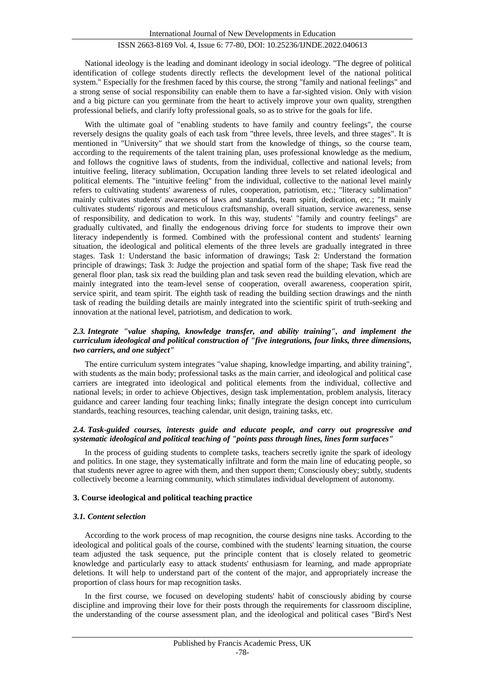# ISSN 2663-8169 Vol. 4, Issue 6: 77-80, DOI: 10.25236/IJNDE.2022.040613

National ideology is the leading and dominant ideology in social ideology. "The degree of political identification of college students directly reflects the development level of the national political system." Especially for the freshmen faced by this course, the strong "family and national feelings" and a strong sense of social responsibility can enable them to have a far-sighted vision. Only with vision and a big picture can you germinate from the heart to actively improve your own quality, strengthen professional beliefs, and clarify lofty professional goals, so as to strive for the goals for life.

With the ultimate goal of "enabling students to have family and country feelings", the course reversely designs the quality goals of each task from "three levels, three levels, and three stages". It is mentioned in "University" that we should start from the knowledge of things, so the course team, according to the requirements of the talent training plan, uses professional knowledge as the medium, and follows the cognitive laws of students, from the individual, collective and national levels; from intuitive feeling, literacy sublimation, Occupation landing three levels to set related ideological and political elements. The "intuitive feeling" from the individual, collective to the national level mainly refers to cultivating students' awareness of rules, cooperation, patriotism, etc.; "literacy sublimation" mainly cultivates students' awareness of laws and standards, team spirit, dedication, etc.; "It mainly cultivates students' rigorous and meticulous craftsmanship, overall situation, service awareness, sense of responsibility, and dedication to work. In this way, students' "family and country feelings" are gradually cultivated, and finally the endogenous driving force for students to improve their own literacy independently is formed. Combined with the professional content and students' learning situation, the ideological and political elements of the three levels are gradually integrated in three stages. Task 1: Understand the basic information of drawings; Task 2: Understand the formation principle of drawings; Task 3: Judge the projection and spatial form of the shape; Task five read the general floor plan, task six read the building plan and task seven read the building elevation, which are mainly integrated into the team-level sense of cooperation, overall awareness, cooperation spirit, service spirit, and team spirit. The eighth task of reading the building section drawings and the ninth task of reading the building details are mainly integrated into the scientific spirit of truth-seeking and innovation at the national level, patriotism, and dedication to work.

### *2.3. Integrate "value shaping, knowledge transfer, and ability training", and implement the curriculum ideological and political construction of "five integrations, four links, three dimensions, two carriers, and one subject"*

The entire curriculum system integrates "value shaping, knowledge imparting, and ability training", with students as the main body; professional tasks as the main carrier, and ideological and political case carriers are integrated into ideological and political elements from the individual, collective and national levels; in order to achieve Objectives, design task implementation, problem analysis, literacy guidance and career landing four teaching links; finally integrate the design concept into curriculum standards, teaching resources, teaching calendar, unit design, training tasks, etc.

#### *2.4. Task-guided courses, interests guide and educate people, and carry out progressive and systematic ideological and political teaching of "points pass through lines, lines form surfaces"*

In the process of guiding students to complete tasks, teachers secretly ignite the spark of ideology and politics. In one stage, they systematically infiltrate and form the main line of educating people, so that students never agree to agree with them, and then support them; Consciously obey; subtly, students collectively become a learning community, which stimulates individual development of autonomy.

#### **3. Course ideological and political teaching practice**

#### *3.1. Content selection*

According to the work process of map recognition, the course designs nine tasks. According to the ideological and political goals of the course, combined with the students' learning situation, the course team adjusted the task sequence, put the principle content that is closely related to geometric knowledge and particularly easy to attack students' enthusiasm for learning, and made appropriate deletions. It will help to understand part of the content of the major, and appropriately increase the proportion of class hours for map recognition tasks.

In the first course, we focused on developing students' habit of consciously abiding by course discipline and improving their love for their posts through the requirements for classroom discipline, the understanding of the course assessment plan, and the ideological and political cases "Bird's Nest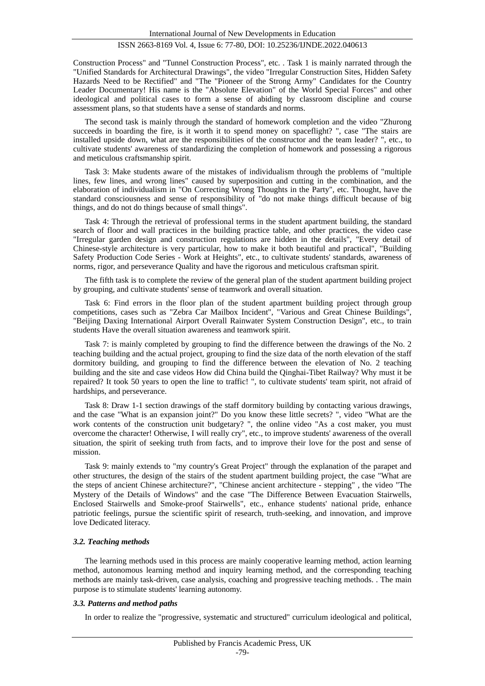# ISSN 2663-8169 Vol. 4, Issue 6: 77-80, DOI: 10.25236/IJNDE.2022.040613

Construction Process" and "Tunnel Construction Process", etc. . Task 1 is mainly narrated through the "Unified Standards for Architectural Drawings", the video "Irregular Construction Sites, Hidden Safety Hazards Need to be Rectified" and "The "Pioneer of the Strong Army" Candidates for the Country Leader Documentary! His name is the "Absolute Elevation" of the World Special Forces" and other ideological and political cases to form a sense of abiding by classroom discipline and course assessment plans, so that students have a sense of standards and norms.

The second task is mainly through the standard of homework completion and the video "Zhurong succeeds in boarding the fire, is it worth it to spend money on spaceflight? ", case "The stairs are installed upside down, what are the responsibilities of the constructor and the team leader? ", etc., to cultivate students' awareness of standardizing the completion of homework and possessing a rigorous and meticulous craftsmanship spirit.

Task 3: Make students aware of the mistakes of individualism through the problems of "multiple lines, few lines, and wrong lines" caused by superposition and cutting in the combination, and the elaboration of individualism in "On Correcting Wrong Thoughts in the Party", etc. Thought, have the standard consciousness and sense of responsibility of "do not make things difficult because of big things, and do not do things because of small things".

Task 4: Through the retrieval of professional terms in the student apartment building, the standard search of floor and wall practices in the building practice table, and other practices, the video case "Irregular garden design and construction regulations are hidden in the details", "Every detail of Chinese-style architecture is very particular, how to make it both beautiful and practical", "Building Safety Production Code Series - Work at Heights", etc., to cultivate students' standards, awareness of norms, rigor, and perseverance Quality and have the rigorous and meticulous craftsman spirit.

The fifth task is to complete the review of the general plan of the student apartment building project by grouping, and cultivate students' sense of teamwork and overall situation.

Task 6: Find errors in the floor plan of the student apartment building project through group competitions, cases such as "Zebra Car Mailbox Incident", "Various and Great Chinese Buildings", "Beijing Daxing International Airport Overall Rainwater System Construction Design", etc., to train students Have the overall situation awareness and teamwork spirit.

Task 7: is mainly completed by grouping to find the difference between the drawings of the No. 2 teaching building and the actual project, grouping to find the size data of the north elevation of the staff dormitory building, and grouping to find the difference between the elevation of No. 2 teaching building and the site and case videos How did China build the Qinghai-Tibet Railway? Why must it be repaired? It took 50 years to open the line to traffic! ", to cultivate students' team spirit, not afraid of hardships, and perseverance.

Task 8: Draw 1-1 section drawings of the staff dormitory building by contacting various drawings, and the case "What is an expansion joint?" Do you know these little secrets? ", video "What are the work contents of the construction unit budgetary? ", the online video "As a cost maker, you must overcome the character! Otherwise, I will really cry", etc., to improve students' awareness of the overall situation, the spirit of seeking truth from facts, and to improve their love for the post and sense of mission.

Task 9: mainly extends to "my country's Great Project" through the explanation of the parapet and other structures, the design of the stairs of the student apartment building project, the case "What are the steps of ancient Chinese architecture?", "Chinese ancient architecture - stepping" , the video "The Mystery of the Details of Windows" and the case "The Difference Between Evacuation Stairwells, Enclosed Stairwells and Smoke-proof Stairwells", etc., enhance students' national pride, enhance patriotic feelings, pursue the scientific spirit of research, truth-seeking, and innovation, and improve love Dedicated literacy.

#### *3.2. Teaching methods*

The learning methods used in this process are mainly cooperative learning method, action learning method, autonomous learning method and inquiry learning method, and the corresponding teaching methods are mainly task-driven, case analysis, coaching and progressive teaching methods. . The main purpose is to stimulate students' learning autonomy.

#### *3.3. Patterns and method paths*

In order to realize the "progressive, systematic and structured" curriculum ideological and political,